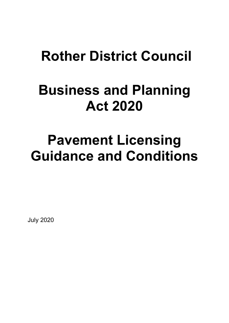## **Rother District Council**

## **Business and Planning Act 2020**

# **Pavement Licensing Guidance and Conditions**

July 2020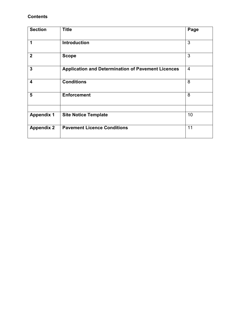## **Contents**

| <b>Section</b>    | <b>Title</b>                                              | Page           |
|-------------------|-----------------------------------------------------------|----------------|
| 1                 | <b>Introduction</b>                                       | 3              |
| $\mathbf 2$       | <b>Scope</b>                                              | 3              |
| $\overline{3}$    | <b>Application and Determination of Pavement Licences</b> | $\overline{4}$ |
| 4                 | <b>Conditions</b>                                         | 8              |
| 5                 | <b>Enforcement</b>                                        | 8              |
| <b>Appendix 1</b> | <b>Site Notice Template</b>                               | 10             |
| <b>Appendix 2</b> | <b>Pavement Licence Conditions</b>                        | 11             |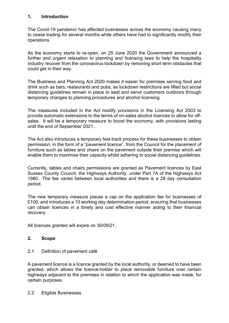#### **1. Introduction**

The Covid-19 pandemic has affected businesses across the economy causing many to cease trading for several months while others have had to significantly modify their operations.

As the economy starts to re-open, on 25 June 2020 the Government announced a further and urgent relaxation to planning and licensing laws to help the hospitality industry recover from the coronavirus lockdown by removing short term obstacles that could get in their way.

The Business and Planning Act 2020 makes it easier for premises serving food and drink such as bars, restaurants and pubs, as lockdown restrictions are lifted but social distancing guidelines remain in place to seat and serve customers outdoors through temporary changes to planning procedures and alcohol licensing.

The measures included in the Act modify provisions in the Licensing Act 2003 to provide automatic extensions to the terms of on-sales alcohol licences to allow for offsales. It will be a temporary measure to boost the economy, with provisions lasting until the end of September 2021.

The Act also introduces a temporary fast-track process for these businesses to obtain permission, in the form of a "pavement licence", from the Council for the placement of furniture such as tables and chairs on the pavement outside their premise which will enable them to maximise their capacity whilst adhering to social distancing guidelines.

Currently, tables and chairs permissions are granted as Pavement licences by East Sussex County Council, the Highways Authority, under Part 7A of the Highways Act 1980. The fee varies between local authorities and there is a 28 day consultation period.

The new temporary measure places a cap on the application fee for businesses of £100, and introduces a 10 working day determination period, ensuring that businesses can obtain licences in a timely and cost effective manner aiding to their financial recovery.

All licences granted will expire on 30/09/21.

## **2. Scope**

2.1 Definition of pavement café

A pavement licence is a licence granted by the local authority, or deemed to have been granted, which allows the licence-holder to place removable furniture over certain highways adjacent to the premises in relation to which the application was made, for certain purposes.

2.2 Eligible Businesses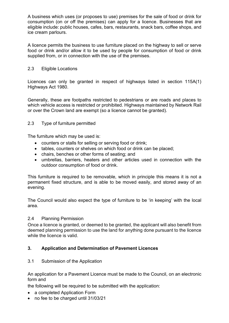A business which uses (or proposes to use) premises for the sale of food or drink for consumption (on or off the premises) can apply for a licence. Businesses that are eligible include: public houses, cafes, bars, restaurants, snack bars, coffee shops, and ice cream parlours.

A licence permits the business to use furniture placed on the highway to sell or serve food or drink and/or allow it to be used by people for consumption of food or drink supplied from, or in connection with the use of the premises.

## 2.3 Eligible Locations

Licences can only be granted in respect of highways listed in section 115A(1) Highways Act 1980.

Generally, these are footpaths restricted to pedestrians or are roads and places to which vehicle access is restricted or prohibited. Highways maintained by Network Rail or over the Crown land are exempt (so a licence cannot be granted).

#### 2.3 Type of furniture permitted

The furniture which may be used is:

- counters or stalls for selling or serving food or drink;
- tables, counters or shelves on which food or drink can be placed;
- chairs, benches or other forms of seating; and
- umbrellas, barriers, heaters and other articles used in connection with the outdoor consumption of food or drink.

This furniture is required to be removable, which in principle this means it is not a permanent fixed structure, and is able to be moved easily, and stored away of an evening.

The Council would also expect the type of furniture to be 'in keeping' with the local area.

#### 2.4 Planning Permission

Once a licence is granted, or deemed to be granted, the applicant will also benefit from deemed planning permission to use the land for anything done pursuant to the licence while the licence is valid.

## **3. Application and Determination of Pavement Licences**

#### 3.1 Submission of the Application

An application for a Pavement Licence must be made to the Council, on an electronic form and

the following will be required to be submitted with the application:

- a completed Application Form
- no fee to be charged until 31/03/21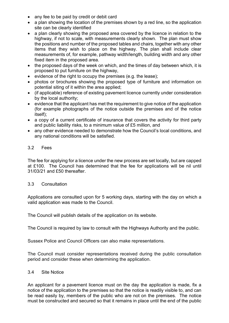- any fee to be paid by credit or debit card
- a plan showing the location of the premises shown by a red line, so the application site can be clearly identified
- a plan clearly showing the proposed area covered by the licence in relation to the highway, if not to scale, with measurements clearly shown. The plan must show the positions and number of the proposed tables and chairs, together with any other items that they wish to place on the highway. The plan shall include clear measurements of, for example, pathway width/length, building width and any other fixed item in the proposed area.
- the proposed days of the week on which, and the times of day between which, it is proposed to put furniture on the highway,
- evidence of the right to occupy the premises (e.g. the lease);
- photos or brochures showing the proposed type of furniture and information on potential siting of it within the area applied;
- (if applicable) reference of existing pavement licence currently under consideration by the local authority;
- evidence that the applicant has met the requirement to give notice of the application (for example photographs of the notice outside the premises and of the notice itself);
- a copy of a current certificate of insurance that covers the activity for third party and public liability risks, to a minimum value of £5 million, and
- any other evidence needed to demonstrate how the Council's local conditions, and any national conditions will be satisfied.

#### 3.2 Fees

The fee for applying for a licence under the new process are set locally, but are capped at £100. The Council has determined that the fee for applications will be nil until 31/03/21 and £50 thereafter.

#### 3.3 Consultation

Applications are consulted upon for 5 working days, starting with the day on which a valid application was made to the Council.

The Council will publish details of the application on its website.

The Council is required by law to consult with the Highways Authority and the public.

Sussex Police and Council Officers can also make representations.

The Council must consider representations received during the public consultation period and consider these when determining the application.

#### 3.4 Site Notice

An applicant for a pavement licence must on the day the application is made, fix a notice of the application to the premises so that the notice is readily visible to, and can be read easily by, members of the public who are not on the premises. The notice must be constructed and secured so that it remains in place until the end of the public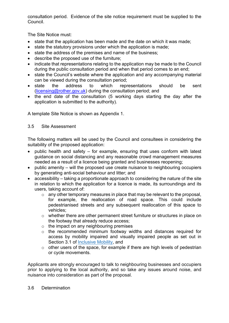consultation period. Evidence of the site notice requirement must be supplied to the Council.

The Site Notice must:

- state that the application has been made and the date on which it was made;
- state the statutory provisions under which the application is made;
- state the address of the premises and name of the business;
- describe the proposed use of the furniture;
- indicate that representations relating to the application may be made to the Council during the public consultation period and when that period comes to an end;
- state the Council's website where the application and any accompanying material can be viewed during the consultation period;
- state the address to which representations should be sent [\(licensing@rother.gov.uk\)](mailto:licensing@rother.gov.uk) during the consultation period; and
- the end date of the consultation (5 working days starting the day after the application is submitted to the authority).

A template Site Notice is shown as Appendix 1.

## 3.5 Site Assessment

The following matters will be used by the Council and consultees in considering the suitability of the proposed application:

- public health and safety  $-$  for example, ensuring that uses conform with latest guidance on social distancing and any reasonable crowd management measures needed as a result of a licence being granted and businesses reopening;
- public amenity will the proposed use create nuisance to neighbouring occupiers by generating anti-social behaviour and litter; and
- accessibility taking a proportionate approach to considering the nature of the site in relation to which the application for a licence is made, its surroundings and its users, taking account of:
	- $\circ$  any other temporary measures in place that may be relevant to the proposal, for example, the reallocation of road space. This could include pedestrianised streets and any subsequent reallocation of this space to vehicles;
	- o whether there are other permanent street furniture or structures in place on the footway that already reduce access;
	- $\circ$  the impact on any neighbouring premises
	- o the recommended minimum footway widths and distances required for access by mobility impaired and visually impaired people as set out in Section 3.1 of [Inclusive](https://www.gov.uk/government/publications/inclusive-mobility) Mobility, and
	- o other users of the space, for example if there are high levels of pedestrian or cycle movements.

Applicants are strongly encouraged to talk to neighbouring businesses and occupiers prior to applying to the local authority, and so take any issues around noise, and nuisance into consideration as part of the proposal.

#### 3.6 Determination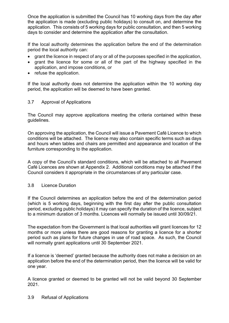Once the application is submitted the Council has 10 working days from the day after the application is made (excluding public holidays) to consult on, and determine the application. This consists of 5 working days for public consultation, and then 5 working days to consider and determine the application after the consultation.

If the local authority determines the application before the end of the determination period the local authority can:

- grant the licence in respect of any or all of the purposes specified in the application,
- grant the licence for some or all of the part of the highway specified in the application, and impose conditions, or
- refuse the application.

If the local authority does not determine the application within the 10 working day period, the application will be deemed to have been granted.

#### 3.7 Approval of Applications

The Council may approve applications meeting the criteria contained within these guidelines.

On approving the application, the Council will issue a Pavement Café Licence to which conditions will be attached. The licence may also contain specific terms such as days and hours when tables and chairs are permitted and appearance and location of the furniture corresponding to the application.

A copy of the Council's standard conditions, which will be attached to all Pavement Café Licences are shown at Appendix 2. Additional conditions may be attached if the Council considers it appropriate in the circumstances of any particular case.

#### 3.8 Licence Duration

If the Council determines an application before the end of the determination period (which is 5 working days, beginning with the first day after the public consultation period, excluding public holidays) it may can specify the duration of the licence, subject to a minimum duration of 3 months. Licences will normally be issued until 30/09/21.

The expectation from the Government is that local authorities will grant licences for 12 months or more unless there are good reasons for granting a licence for a shorter period such as plans for future changes in use of road space. As such, the Council will normally grant applications until 30 September 2021.

If a licence is 'deemed' granted because the authority does not make a decision on an application before the end of the determination period, then the licence will be valid for one year.

A licence granted or deemed to be granted will not be valid beyond 30 September 2021.

3.9 Refusal of Applications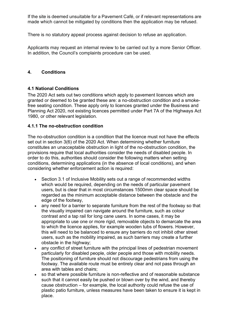If the site is deemed unsuitable for a Pavement Café, or if relevant representations are made which cannot be mitigated by conditions then the application may be refused.

There is no statutory appeal process against decision to refuse an application.

Applicants may request an internal review to be carried out by a more Senior Officer. In addition, the Council's complaints procedure can be used.

## **4. Conditions**

## **4.1 National Conditions**

The 2020 Act sets out two conditions which apply to pavement licences which are granted or deemed to be granted these are: a no-obstruction condition and a smokefree seating condition. These apply only to licences granted under the Business and Planning Act 2020, not existing licences permitted under Part 7A of the Highways Act 1980, or other relevant legislation.

## **4.1.1 The no-obstruction condition**

The no-obstruction condition is a condition that the licence must not have the effects set out in section 3(6) of the 2020 Act. When determining whether furniture constitutes an unacceptable obstruction in light of the no-obstruction condition, the provisions require that local authorities consider the needs of disabled people. In order to do this, authorities should consider the following matters when setting conditions, determining applications (in the absence of local conditions), and when considering whether enforcement action is required:

- Section 3.1 of Inclusive Mobility sets out a range of recommended widths which would be required, depending on the needs of particular pavement users, but is clear that in most circumstances 1500mm clear space should be regarded as the minimum acceptable distance between the obstacle and the edge of the footway,
- any need for a barrier to separate furniture from the rest of the footway so that the visually impaired can navigate around the furniture, such as colour contrast and a tap rail for long cane users. In some cases, it may be appropriate to use one or more rigid, removable objects to demarcate the area to which the licence applies, for example wooden tubs of flowers. However, this will need to be balanced to ensure any barriers do not inhibit other street users, such as the mobility impaired, as such barriers may create a further obstacle in the highway;
- any conflict of street furniture with the principal lines of pedestrian movement particularly for disabled people, older people and those with mobility needs. The positioning of furniture should not discourage pedestrians from using the footway. The available route must be entirely clear and not pass through an area with tables and chairs;
- so that where possible furniture is non-reflective and of reasonable substance such that it cannot easily be pushed or blown over by the wind, and thereby cause obstruction – for example, the local authority could refuse the use of plastic patio furniture, unless measures have been taken to ensure it is kept in place.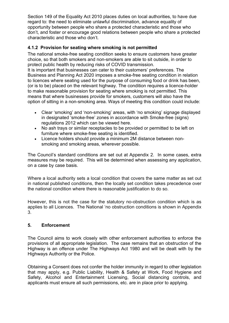Section 149 of the Equality Act 2010 places duties on local authorities, to have due regard to: the need to eliminate unlawful discrimination, advance equality of opportunity between people who share a protected characteristic and those who don't, and foster or encourage good relations between people who share a protected characteristic and those who don't.

## **4.1.2 Provision for seating where smoking is not permitted**

The national smoke-free seating condition seeks to ensure customers have greater choice, so that both smokers and non-smokers are able to sit outside, in order to protect public health by reducing risks of COVID transmission.

It is important that businesses can cater to their customers' preferences. The Business and Planning Act 2020 imposes a smoke-free seating condition in relation to licences where seating used for the purpose of consuming food or drink has been, (or is to be) placed on the relevant highway. The condition requires a licence-holder to make reasonable provision for seating where smoking is not permitted. This means that where businesses provide for smokers, customers will also have the option of sitting in a non-smoking area. Ways of meeting this condition could include:

- Clear 'smoking' and 'non-smoking' areas, with 'no smoking' signage displayed in designated 'smoke-free' zones in accordance with Smoke-free (signs) regulations 2012 which can be viewed here.
- No ash trays or similar receptacles to be provided or permitted to be left on furniture where smoke-free seating is identified.
- Licence holders should provide a minimum 2M distance between nonsmoking and smoking areas, wherever possible.

The Council's standard conditions are set out at Appendix 2. In some cases, extra measures may be required. This will be determined when assessing any application, on a case by case basis.

Where a local authority sets a local condition that covers the same matter as set out in national published conditions, then the locally set condition takes precedence over the national condition where there is reasonable justification to do so.

However, this is not the case for the statutory no-obstruction condition which is as applies to all Licences. The National 'no obstruction conditions is shown in Appendix 3.

## **5. Enforcement**

The Council aims to work closely with other enforcement authorities to enforce the provisions of all appropriate legislation. The case remains that an obstruction of the Highway is an offence under The Highways Act 1980 and will be dealt with by the Highways Authority or the Police.

Obtaining a Consent does not confer the holder immunity in regard to other legislation that may apply, e.g. Public Liability, Health & Safety at Work, Food Hygiene and Safety, Alcohol and Entertainment Licensing, Social distancing controls, and applicants must ensure all such permissions, etc. are in place prior to applying.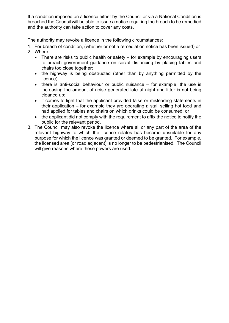If a condition imposed on a licence either by the Council or via a National Condition is breached the Council will be able to issue a notice requiring the breach to be remedied and the authority can take action to cover any costs.

The authority may revoke a licence in the following circumstances:

- 1. For breach of condition, (whether or not a remediation notice has been issued) or
- 2. Where:
	- There are risks to public health or safety for example by encouraging users to breach government guidance on social distancing by placing tables and chairs too close together;
	- the highway is being obstructed (other than by anything permitted by the licence);
	- there is anti-social behaviour or public nuisance for example, the use is increasing the amount of noise generated late at night and litter is not being cleaned up;
	- it comes to light that the applicant provided false or misleading statements in their application – for example they are operating a stall selling hot food and had applied for tables and chairs on which drinks could be consumed; or
	- the applicant did not comply with the requirement to affix the notice to notify the public for the relevant period.
- 3. The Council may also revoke the licence where all or any part of the area of the relevant highway to which the licence relates has become unsuitable for any purpose for which the licence was granted or deemed to be granted. For example, the licensed area (or road adjacent) is no longer to be pedestrianised. The Council will give reasons where these powers are used.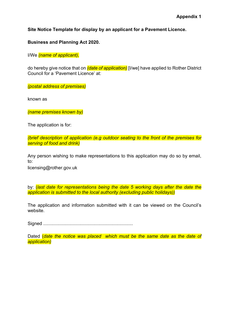**Site Notice Template for display by an applicant for a Pavement Licence.**

**Business and Planning Act 2020.**

I/We *(name of applicant),*

do hereby give notice that on *(date of application)* [I/we] have applied to Rother District Council for a 'Pavement Licence' at:

*(postal address of premises)*

known as

*(name premises known by)*

The application is for:

*(brief description of application (e.g outdoor seating to the front of the premises for serving of food and drink)*

Any person wishing to make representations to this application may do so by email, to:

licensing@rother.gov.uk

by: (*last date for representations being the date 5 working days after the date the application is submitted to the local authority (excluding public holidays))*

The application and information submitted with it can be viewed on the Council's website.

Signed ......................................................................

Dated (*date the notice was placed which must be the same date as the date of application)*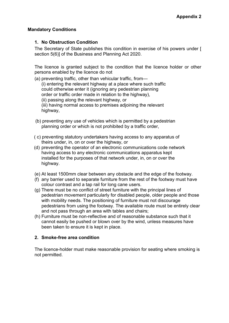## **Mandatory Conditions**

## **1. No Obstruction Condition**

The Secretary of State publishes this condition in exercise of his powers under [ section 5(6)] of the Business and Planning Act 2020.

The licence is granted subject to the condition that the licence holder or other persons enabled by the licence do not

(a) preventing traffic, other than vehicular traffic, from— (i) entering the relevant highway at a place where such traffic could otherwise enter it (ignoring any pedestrian planning order or traffic order made in relation to the highway), (ii) passing along the relevant highway, or (iii) having normal access to premises adjoining the relevant highway,

- (b) preventing any use of vehicles which is permitted by a pedestrian planning order or which is not prohibited by a traffic order,
- ( c) preventing statutory undertakers having access to any apparatus of theirs under, in, on or over the highway, or
- (d) preventing the operator of an electronic communications code network having access to any electronic communications apparatus kept installed for the purposes of that network under, in, on or over the highway.
- (e) At least 1500mm clear between any obstacle and the edge of the footway.
- (f) any barrier used to separate furniture from the rest of the footway must have colour contrast and a tap rail for long cane users.
- (g) There must be no conflict of street furniture with the principal lines of pedestrian movement particularly for disabled people, older people and those with mobility needs. The positioning of furniture must not discourage pedestrians from using the footway. The available route must be entirely clear and not pass through an area with tables and chairs;
- (h) Furniture must be non-reflective and of reasonable substance such that it cannot easily be pushed or blown over by the wind, unless measures have been taken to ensure it is kept in place.

## **2. Smoke-free area condition**

The licence-holder must make reasonable provision for seating where smoking is not permitted.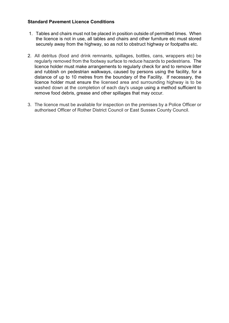## **Standard Pavement Licence Conditions**

- 1. Tables and chairs must not be placed in position outside of permitted times. When the licence is not in use, all tables and chairs and other furniture etc must stored securely away from the highway, so as not to obstruct highway or footpaths etc.
- 2. All detritus (food and drink remnants, spillages, bottles, cans, wrappers etc) be regularly removed from the footway surface to reduce hazards to pedestrians. The licence holder must make arrangements to regularly check for and to remove litter and rubbish on pedestrian walkways, caused by persons using the facility, for a distance of up to 10 metres from the boundary of the Facility. If necessary, the licence holder must ensure the licensed area and surrounding highway is to be washed down at the completion of each day's usage using a method sufficient to remove food debris, grease and other spillages that may occur.
- 3. The licence must be available for inspection on the premises by a Police Officer or authorised Officer of Rother District Council or East Sussex County Council.